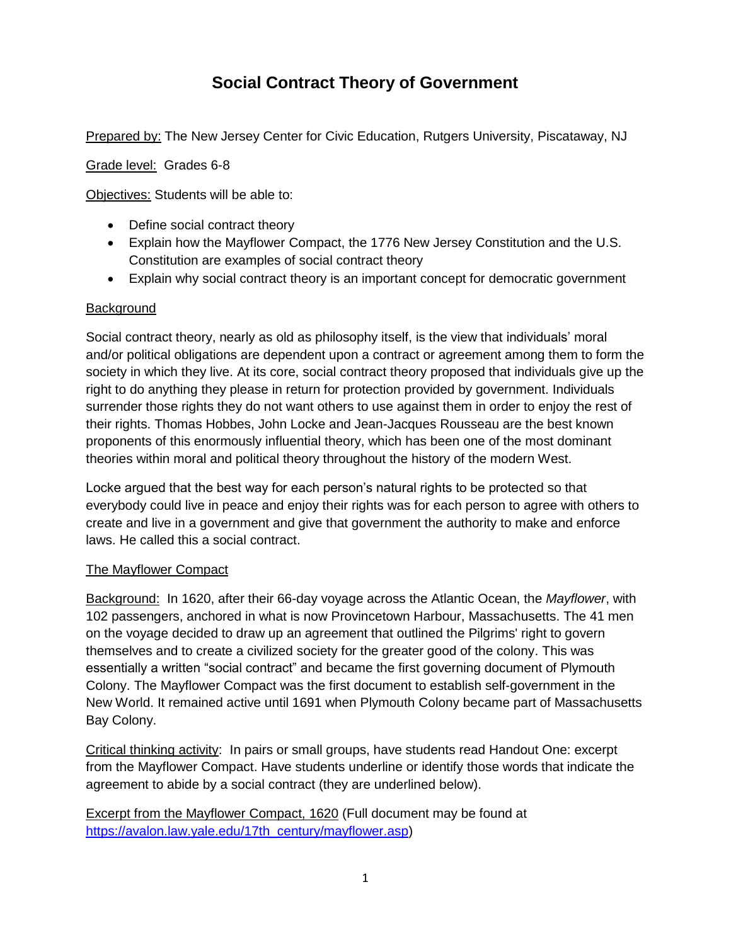# **Social Contract Theory of Government**

Prepared by: The New Jersey Center for Civic Education, Rutgers University, Piscataway, NJ

Grade level: Grades 6-8

Objectives: Students will be able to:

- Define social contract theory
- Explain how the Mayflower Compact, the 1776 New Jersey Constitution and the U.S. Constitution are examples of social contract theory
- Explain why social contract theory is an important concept for democratic government

#### **Background**

Social contract theory, nearly as old as philosophy itself, is the view that individuals' moral and/or political obligations are dependent upon a contract or agreement among them to form the society in which they live. At its core, social contract theory proposed that individuals give up the right to do anything they please in return for protection provided by government. Individuals surrender those rights they do not want others to use against them in order to enjoy the rest of their rights. Thomas Hobbes, John Locke and Jean-Jacques Rousseau are the best known proponents of this enormously influential theory, which has been one of the most dominant theories within moral and political theory throughout the history of the modern West.

Locke argued that the best way for each person's natural rights to be protected so that everybody could live in peace and enjoy their rights was for each person to agree with others to create and live in a government and give that government the authority to make and enforce laws. He called this a social contract.

#### The Mayflower Compact

Background: In 1620, after their 66-day voyage across the Atlantic Ocean, the *Mayflower*, with 102 passengers, anchored in what is now Provincetown Harbour, Massachusetts. The 41 men on the voyage decided to draw up an agreement that outlined the Pilgrims' right to govern themselves and to create a civilized society for the greater good of the colony. This was essentially a written "social contract" and became the first governing document of Plymouth Colony. The Mayflower Compact was the first document to establish self-government in the New World. It remained active until 1691 when Plymouth Colony became part of Massachusetts Bay Colony.

Critical thinking activity: In pairs or small groups, have students read Handout One: excerpt from the Mayflower Compact. Have students underline or identify those words that indicate the agreement to abide by a social contract (they are underlined below).

Excerpt from the Mayflower Compact, 1620 (Full document may be found at [https://avalon.law.yale.edu/17th\\_century/mayflower.asp\)](https://avalon.law.yale.edu/17th_century/mayflower.asp)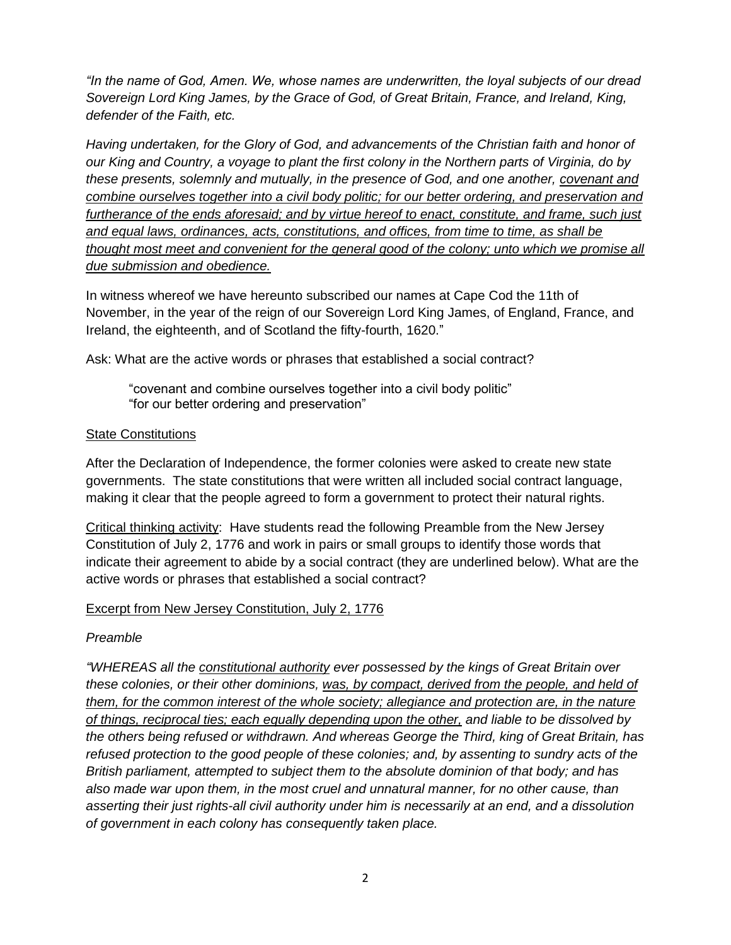*"In the name of God, Amen. We, whose names are underwritten, the loyal subjects of our dread Sovereign Lord King James, by the Grace of God, of Great Britain, France, and Ireland, King, defender of the Faith, etc.*

*Having undertaken, for the Glory of God, and advancements of the Christian faith and honor of our King and Country, a voyage to plant the first colony in the Northern parts of Virginia, do by these presents, solemnly and mutually, in the presence of God, and one another, covenant and combine ourselves together into a civil body politic; for our better ordering, and preservation and furtherance of the ends aforesaid; and by virtue hereof to enact, constitute, and frame, such just and equal laws, ordinances, acts, constitutions, and offices, from time to time, as shall be thought most meet and convenient for the general good of the colony; unto which we promise all due submission and obedience.*

In witness whereof we have hereunto subscribed our names at Cape Cod the 11th of November, in the year of the reign of our Sovereign Lord King James, of England, France, and Ireland, the eighteenth, and of Scotland the fifty-fourth, 1620."

Ask: What are the active words or phrases that established a social contract?

"covenant and combine ourselves together into a civil body politic" "for our better ordering and preservation"

#### State Constitutions

After the Declaration of Independence, the former colonies were asked to create new state governments. The state constitutions that were written all included social contract language, making it clear that the people agreed to form a government to protect their natural rights.

Critical thinking activity: Have students read the following Preamble from the New Jersey Constitution of July 2, 1776 and work in pairs or small groups to identify those words that indicate their agreement to abide by a social contract (they are underlined below). What are the active words or phrases that established a social contract?

#### Excerpt from New Jersey Constitution, July 2, 1776

*Preamble*

*"WHEREAS all the constitutional authority ever possessed by the kings of Great Britain over these colonies, or their other dominions, was, by compact, derived from the people, and held of them, for the common interest of the whole society; allegiance and protection are, in the nature of things, reciprocal ties; each equally depending upon the other, and liable to be dissolved by the others being refused or withdrawn. And whereas George the Third, king of Great Britain, has refused protection to the good people of these colonies; and, by assenting to sundry acts of the British parliament, attempted to subject them to the absolute dominion of that body; and has also made war upon them, in the most cruel and unnatural manner, for no other cause, than asserting their just rights-all civil authority under him is necessarily at an end, and a dissolution of government in each colony has consequently taken place.*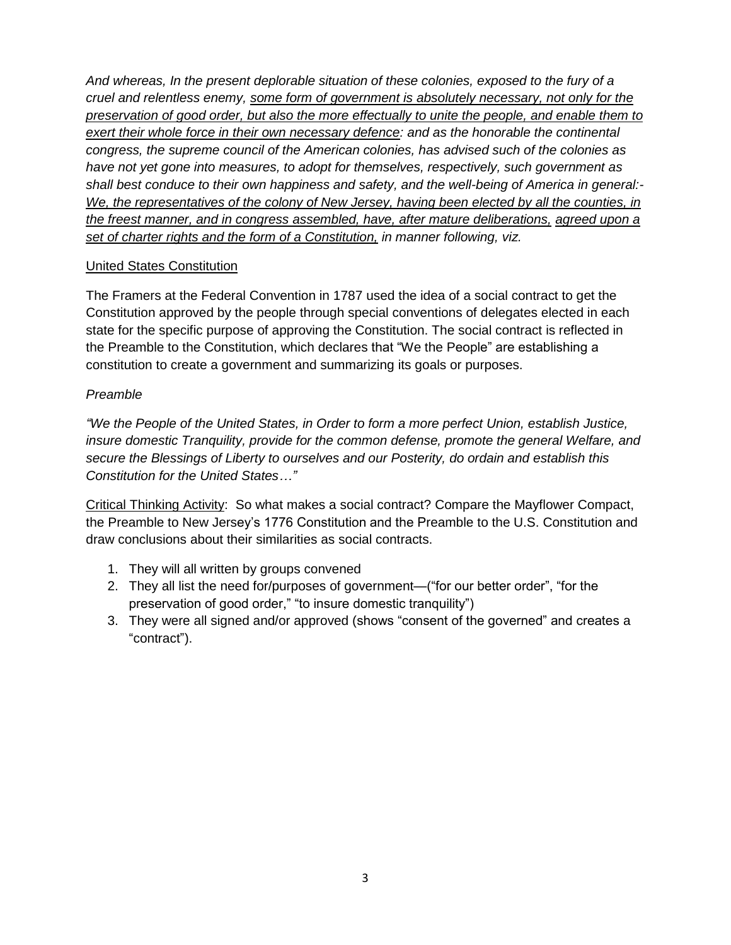*And whereas, In the present deplorable situation of these colonies, exposed to the fury of a cruel and relentless enemy, some form of government is absolutely necessary, not only for the preservation of good order, but also the more effectually to unite the people, and enable them to exert their whole force in their own necessary defence: and as the honorable the continental congress, the supreme council of the American colonies, has advised such of the colonies as have not yet gone into measures, to adopt for themselves, respectively, such government as shall best conduce to their own happiness and safety, and the well-being of America in general:- We, the representatives of the colony of New Jersey, having been elected by all the counties, in the freest manner, and in congress assembled, have, after mature deliberations, agreed upon a set of charter rights and the form of a Constitution, in manner following, viz.* 

#### United States Constitution

The Framers at the Federal Convention in 1787 used the idea of a social contract to get the Constitution approved by the people through special conventions of delegates elected in each state for the specific purpose of approving the Constitution. The social contract is reflected in the Preamble to the Constitution, which declares that "We the People" are establishing a constitution to create a government and summarizing its goals or purposes.

### *Preamble*

*"We the People of the United States, in Order to form a more perfect Union, establish Justice, insure domestic Tranquility, provide for the common defense, promote the general Welfare, and secure the Blessings of Liberty to ourselves and our Posterity, do ordain and establish this Constitution for the United States…"*

Critical Thinking Activity: So what makes a social contract? Compare the Mayflower Compact, the Preamble to New Jersey's 1776 Constitution and the Preamble to the U.S. Constitution and draw conclusions about their similarities as social contracts.

- 1. They will all written by groups convened
- 2. They all list the need for/purposes of government—("for our better order", "for the preservation of good order," "to insure domestic tranquility")
- 3. They were all signed and/or approved (shows "consent of the governed" and creates a "contract").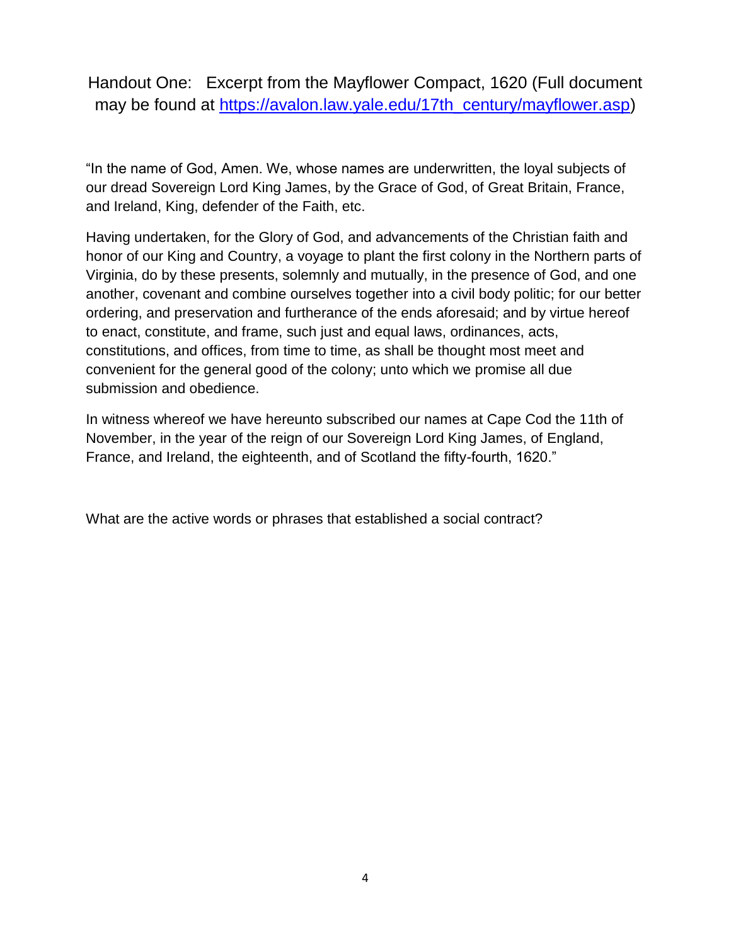Handout One: Excerpt from the Mayflower Compact, 1620 (Full document may be found at [https://avalon.law.yale.edu/17th\\_century/mayflower.asp\)](https://avalon.law.yale.edu/17th_century/mayflower.asp)

"In the name of God, Amen. We, whose names are underwritten, the loyal subjects of our dread Sovereign Lord King James, by the Grace of God, of Great Britain, France, and Ireland, King, defender of the Faith, etc.

Having undertaken, for the Glory of God, and advancements of the Christian faith and honor of our King and Country, a voyage to plant the first colony in the Northern parts of Virginia, do by these presents, solemnly and mutually, in the presence of God, and one another, covenant and combine ourselves together into a civil body politic; for our better ordering, and preservation and furtherance of the ends aforesaid; and by virtue hereof to enact, constitute, and frame, such just and equal laws, ordinances, acts, constitutions, and offices, from time to time, as shall be thought most meet and convenient for the general good of the colony; unto which we promise all due submission and obedience.

In witness whereof we have hereunto subscribed our names at Cape Cod the 11th of November, in the year of the reign of our Sovereign Lord King James, of England, France, and Ireland, the eighteenth, and of Scotland the fifty-fourth, 1620."

What are the active words or phrases that established a social contract?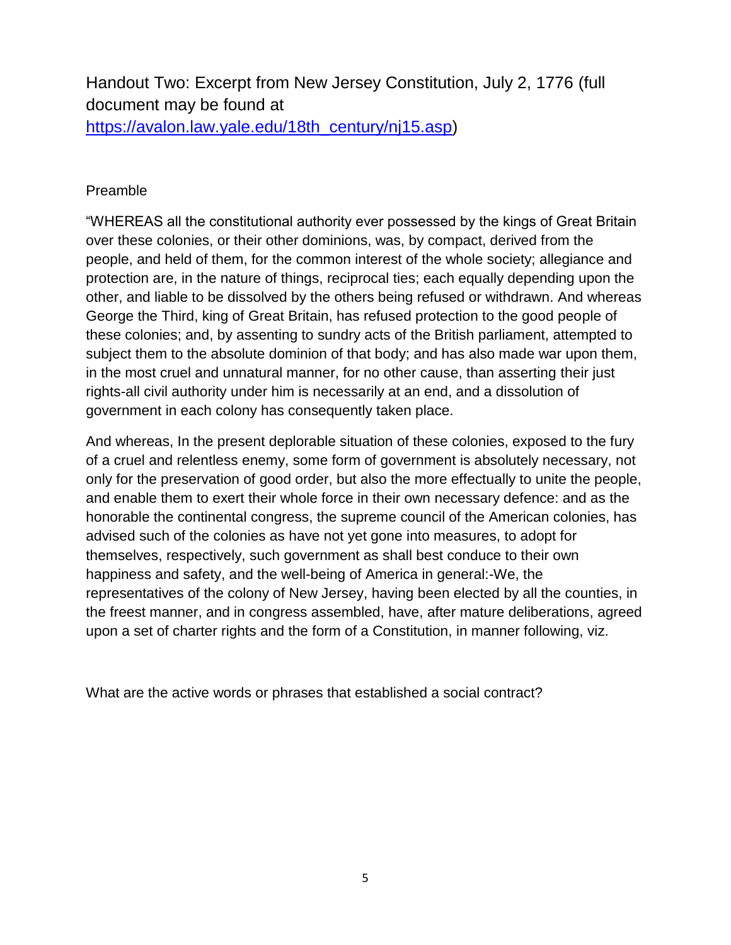Handout Two: Excerpt from New Jersey Constitution, July 2, 1776 (full document may be found at [https://avalon.law.yale.edu/18th\\_century/nj15.asp\)](https://avalon.law.yale.edu/18th_century/nj15.asp)

## Preamble

"WHEREAS all the constitutional authority ever possessed by the kings of Great Britain over these colonies, or their other dominions, was, by compact, derived from the people, and held of them, for the common interest of the whole society; allegiance and protection are, in the nature of things, reciprocal ties; each equally depending upon the other, and liable to be dissolved by the others being refused or withdrawn. And whereas George the Third, king of Great Britain, has refused protection to the good people of these colonies; and, by assenting to sundry acts of the British parliament, attempted to subject them to the absolute dominion of that body; and has also made war upon them, in the most cruel and unnatural manner, for no other cause, than asserting their just rights-all civil authority under him is necessarily at an end, and a dissolution of government in each colony has consequently taken place.

And whereas, In the present deplorable situation of these colonies, exposed to the fury of a cruel and relentless enemy, some form of government is absolutely necessary, not only for the preservation of good order, but also the more effectually to unite the people, and enable them to exert their whole force in their own necessary defence: and as the honorable the continental congress, the supreme council of the American colonies, has advised such of the colonies as have not yet gone into measures, to adopt for themselves, respectively, such government as shall best conduce to their own happiness and safety, and the well-being of America in general:-We, the representatives of the colony of New Jersey, having been elected by all the counties, in the freest manner, and in congress assembled, have, after mature deliberations, agreed upon a set of charter rights and the form of a Constitution, in manner following, viz.

What are the active words or phrases that established a social contract?